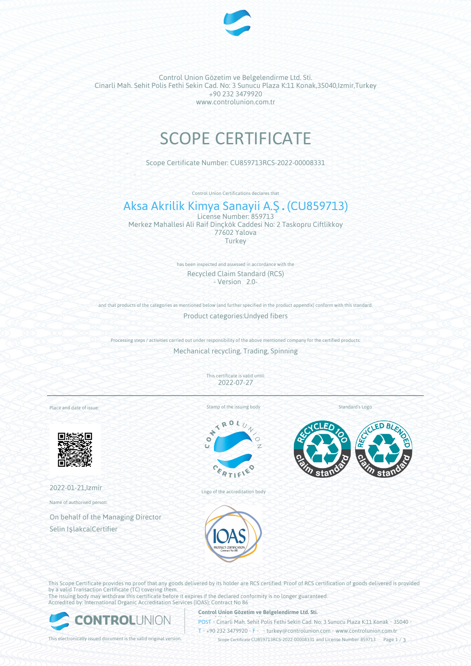

Control Union Gözetim ve Belgelendirme Ltd. Sti. Cinarli Mah. Sehit Polis Fethi Sekin Cad. No: 3 Sunucu Plaza K:11 Konak,35040,Izmir,Turkey +90 232 3479920 www.controlunion.com.tr

# SCOPE CERTIFICATE

Scope Certificate Number: CU859713RCS-2022-00008331

Control Union Certifications declares that

## Aksa Akrilik Kimya Sanayii A.Ş.(CU859713)

License Number: 859713 Merkez Mahallesi Ali Raif Dinçkök Caddesi No: 2 Taskopru Ciftlikkoy 77602 Yalova Turkey

> has been inspected and assessed in accordance with the Recycled Claim Standard (RCS) - Version 2.0-

and that products of the categories as mentioned below (and further specified in the product appendix) conform with this standard. Product categories:Undyed fibers

Processing steps / activities carried out under responsibility of the above mentioned company for the certified products: Mechanical recycling, Trading, Spinning

> This certificate is valid until: 2022-07-27

Place and date of issue:



2022-01-21,Izmir

Name of authorised person:

On behalf of the Managing Director Selin Işlakca|Certifier

Stamp of the issuing body

Standard's Logo



Logo of the accreditation body





This Scope Certificate provides no proof that any goods delivered by its holder are RCS certified. Proof of RCS certification of goods delivered is provided by a valid Transaction Certificate (TC) covering them. The issuing body may withdraw this certificate before it expires if the declared conformity is no longer guaranteed.

Accredited by: International Organic Accreditation Services (IOAS); Contract No 86



**Control Union Gözetim ve Belgelendirme Ltd. Sti.**

**POST** Cinarli Mah. Sehit Polis Fethi Sekin Cad. No: 3 Sunucu Plaza K:11 Konak • 35040

T • +90 232 3479920 • F • turkey@controlunion.com • www.controlunion.com.tr

This electronically issued document is the valid original version. Scope Certificate CU859713RCS-2022-00008331 and License Number 859713 Page 1 / 3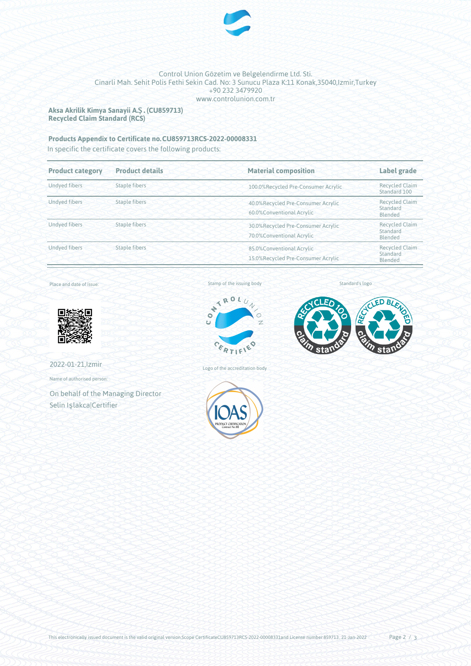

### Control Union Gözetim ve Belgelendirme Ltd. Sti. Cinarli Mah. Sehit Polis Fethi Sekin Cad. No: 3 Sunucu Plaza K:11 Konak,35040,Izmir,Turkey +90 232 3479920 www.controlunion.com.tr

**Aksa Akrilik Kimya Sanayii A.Ş.(CU859713) Recycled Claim Standard (RCS)**

## **Products Appendix to Certificate no.CU859713RCS-2022-00008331**

In specific the certificate covers the following products:

| <b>Product category</b> | <b>Product details</b> | <b>Material composition</b>                                     | Label grade<br><b>Recycled Claim</b><br>Standard 100 |  |
|-------------------------|------------------------|-----------------------------------------------------------------|------------------------------------------------------|--|
| <b>Undved fibers</b>    | <b>Staple fibers</b>   | 100.0%Recycled Pre-Consumer Acrylic                             |                                                      |  |
| <b>Undyed fibers</b>    | <b>Staple fibers</b>   | 40.0%Recycled Pre-Consumer Acrylic<br>60.0%Conventional Acrylic | <b>Recycled Claim</b><br>Standard<br>Blended         |  |
| <b>Undved fibers</b>    | Staple fibers          | 30.0%Recycled Pre-Consumer Acrylic<br>70.0%Conventional Acrylic | <b>Recycled Claim</b><br>Standard<br>Blended         |  |
| <b>Undved fibers</b>    | <b>Staple fibers</b>   | 85.0%Conventional Acrylic<br>15.0%Recycled Pre-Consumer Acrylic | <b>Recycled Claim</b><br>Standard<br>Blended         |  |

Place and date of issue:



2022-01-21,Izmir

Name of authorised person:

On behalf of the Managing Director Selin Işlakca|Certifier

Stamp of the issuing body



Logo of the accreditation body



Standard's logo